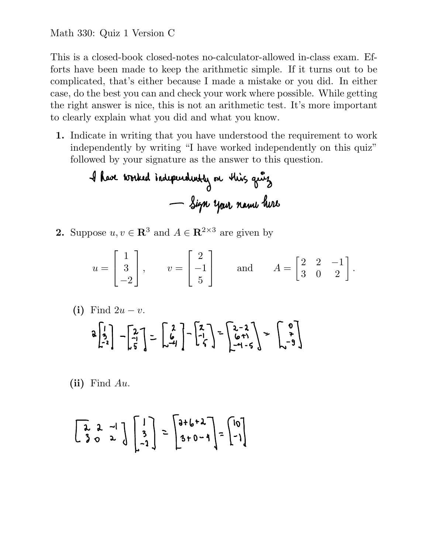This is a closed-book closed-notes no-calculator-allowed in-class exam. Efforts have been made to keep the arithmetic simple. If it turns out to be complicated, that's either because I made a mistake or you did. In either case, do the best you can and check your work where possible. While getting the right answer is nice, this is not an arithmetic test. It's more important to clearly explain what you did and what you know.

1. Indicate in writing that you have understood the requirement to work independently by writing "I have worked independently on this quiz" followed by your signature as the answer to this question.

**2.** Suppose 
$$
u, v \in \mathbb{R}^3
$$
 and  $A \in \mathbb{R}^{2 \times 3}$  are given by

$$
u = \begin{bmatrix} 1 \\ 3 \\ -2 \end{bmatrix}
$$
,  $v = \begin{bmatrix} 2 \\ -1 \\ 5 \end{bmatrix}$  and  $A = \begin{bmatrix} 2 & 2 & -1 \\ 3 & 0 & 2 \end{bmatrix}$ .

(i) Find 
$$
2u - v
$$
.  
\n
$$
a\begin{bmatrix} 1 \\ 3 \\ -2 \end{bmatrix} - \begin{bmatrix} 2 \\ -1 \\ 5 \end{bmatrix} = \begin{bmatrix} 2 \\ 6 \\ -4 \end{bmatrix} - \begin{bmatrix} 2 \\ -1 \\ 6 \end{bmatrix} = \begin{bmatrix} 2 - 2 \\ 6 + 1 \\ -4 - 5 \end{bmatrix} = \begin{bmatrix} 0 \\ 7 \\ -9 \end{bmatrix}
$$

(ii) Find Au.

$$
\begin{bmatrix} 2 & 2 & -1 \\ 3 & 0 & 2 \end{bmatrix} \begin{bmatrix} 1 \\ 3 \\ -2 \end{bmatrix} = \begin{bmatrix} 3 + 6 + 2 \\ 3 + 0 - 4 \end{bmatrix} = \begin{bmatrix} 10 \\ -1 \end{bmatrix}
$$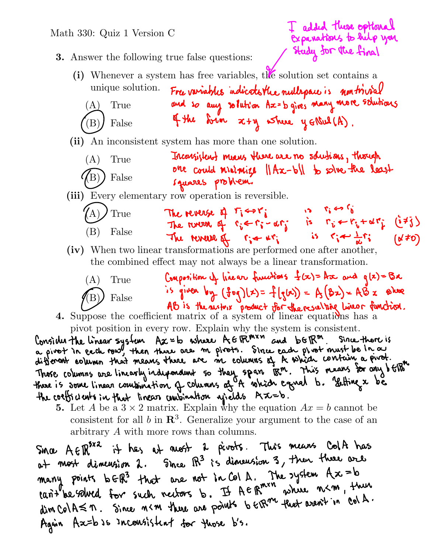

many points b ER3 that are not in Col A. The system  $Ax = b$ <br>tant be solved for such nectors b. If  $A \in \mathbb{R}^{m \times n}$  where  $n \leq m$ , then dim ColA  $\leq$  n. Since n < m there are points to  $\epsilon$ the fluot aren't in col A. Again Ax=b so inconsistent for those b's.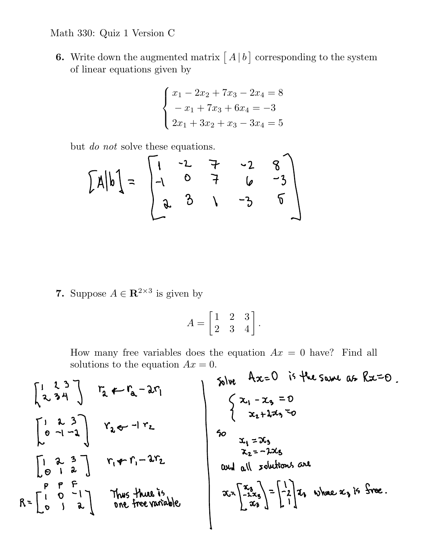## Math 330: Quiz 1 Version C

**6.** Write down the augmented matrix  $\begin{bmatrix} A \end{bmatrix}$  corresponding to the system of linear equations given by

$$
\begin{cases}\nx_1 - 2x_2 + 7x_3 - 2x_4 = 8 \\
-x_1 + 7x_3 + 6x_4 = -3 \\
2x_1 + 3x_2 + x_3 - 3x_4 = 5\n\end{cases}
$$

but do not solve these equations.

$$
\begin{bmatrix} x \mid b \mid = \begin{bmatrix} 1 & -2 & -2 & -2 & 8 \\ -1 & 0 & 7 & 6 & -3 \\ 2 & 3 & 1 & -3 & 5 \end{bmatrix} \end{bmatrix}
$$

7. Suppose  $A \in \mathbb{R}^{2 \times 3}$  is given by

$$
A = \begin{bmatrix} 1 & 2 & 3 \\ 2 & 3 & 4 \end{bmatrix}.
$$

How many free variables does the equation  $Ax = 0$  have? Find all solutions to the equation  $Ax = 0$ .  $\lambda$  $\ddot{\phantom{a}}$  $\sim$  10

$$
\begin{bmatrix} 1 & 2 & 3 \ 2 & 3 & 4 \end{bmatrix}
$$
  
\n
$$
\begin{bmatrix} 1 & 2 & 3 \ 2 & 3 & 4 \end{bmatrix}
$$
  
\n
$$
\begin{bmatrix} 1 & 2 & 3 \ 0 & -1 & -1 \ 0 & 1 & 2 \end{bmatrix}
$$
  
\n
$$
\begin{bmatrix} 1 & 2 & 3 \ 0 & -1 & -1 \ 0 & 1 & 2 \end{bmatrix}
$$
  
\n
$$
\begin{bmatrix} 1 & 2 & 3 \ 0 & -1 & 2 \ 0 & 1 & 2 \end{bmatrix}
$$
  
\n
$$
\begin{bmatrix} 1 & 2 & 3 \ 0 & -1 & 2 \ 0 & 1 & 2 \end{bmatrix}
$$
  
\n
$$
\begin{bmatrix} 1 & 2 & 3 \ 7 & 4 & 7 \ 1 & 2 & 3 \end{bmatrix}
$$
  
\n
$$
\begin{bmatrix} 1 & 2 & 3 \ 7 & 4 & 7 \ 1 & 2 & 3 \end{bmatrix}
$$
  
\n
$$
\begin{bmatrix} 1 & 2 & 3 \ 7 & 4 & 7 \ 1 & 2 & 3 \end{bmatrix}
$$
  
\n
$$
\begin{bmatrix} 1 & 2 & 3 \ 7 & 4 & 7 \ 1 & 2 & 3 \end{bmatrix}
$$
  
\n
$$
\begin{bmatrix} 1 & 2 & 3 \ 1 & 2 & 3 \ 1 & 2 & 3 \end{bmatrix}
$$
  
\n
$$
\begin{bmatrix} 1 & 2 & 3 \ 1 & 2 & 3 \ 1 & 2 & 3 \end{bmatrix}
$$
  
\n
$$
\begin{bmatrix} 1 & 2 & 3 \ 1 & 2 & 3 \ 1 & 2 & 3 \end{bmatrix}
$$
  
\n
$$
\begin{bmatrix} 1 & 2 & 3 \ 1 & 2 & 3 \ 1 & 2 & 3 \end{bmatrix}
$$
  
\n
$$
\begin{bmatrix} 1 & 2 & 3 \ 1 & 2 & 3 \ 1 & 2 & 3 \end{bmatrix}
$$
  
\n
$$
\begin{bmatrix} 1 & 2 & 3 \ 1 & 2 & 3 \ 1 & 2 & 3 \end{bmatrix}
$$
  
\n
$$
\begin{bmatrix} 1 &
$$